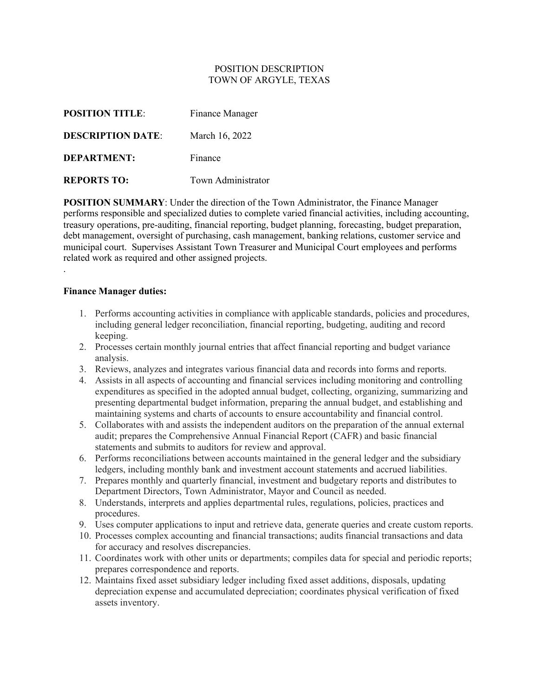### POSITION DESCRIPTION TOWN OF ARGYLE, TEXAS

| <b>POSITION TITLE:</b>   | Finance Manager    |
|--------------------------|--------------------|
| <b>DESCRIPTION DATE:</b> | March 16, 2022     |
| <b>DEPARTMENT:</b>       | Finance            |
| <b>REPORTS TO:</b>       | Town Administrator |

**POSITION SUMMARY:** Under the direction of the Town Administrator, the Finance Manager performs responsible and specialized duties to complete varied financial activities, including accounting, treasury operations, pre-auditing, financial reporting, budget planning, forecasting, budget preparation, debt management, oversight of purchasing, cash management, banking relations, customer service and municipal court. Supervises Assistant Town Treasurer and Municipal Court employees and performs related work as required and other assigned projects.

### **Finance Manager duties:**

.

- 1. Performs accounting activities in compliance with applicable standards, policies and procedures, including general ledger reconciliation, financial reporting, budgeting, auditing and record keeping.
- 2. Processes certain monthly journal entries that affect financial reporting and budget variance analysis.
- 3. Reviews, analyzes and integrates various financial data and records into forms and reports.
- 4. Assists in all aspects of accounting and financial services including monitoring and controlling expenditures as specified in the adopted annual budget, collecting, organizing, summarizing and presenting departmental budget information, preparing the annual budget, and establishing and maintaining systems and charts of accounts to ensure accountability and financial control.
- 5. Collaborates with and assists the independent auditors on the preparation of the annual external audit; prepares the Comprehensive Annual Financial Report (CAFR) and basic financial statements and submits to auditors for review and approval.
- 6. Performs reconciliations between accounts maintained in the general ledger and the subsidiary ledgers, including monthly bank and investment account statements and accrued liabilities.
- 7. Prepares monthly and quarterly financial, investment and budgetary reports and distributes to Department Directors, Town Administrator, Mayor and Council as needed.
- 8. Understands, interprets and applies departmental rules, regulations, policies, practices and procedures.
- 9. Uses computer applications to input and retrieve data, generate queries and create custom reports.
- 10. Processes complex accounting and financial transactions; audits financial transactions and data for accuracy and resolves discrepancies.
- 11. Coordinates work with other units or departments; compiles data for special and periodic reports; prepares correspondence and reports.
- 12. Maintains fixed asset subsidiary ledger including fixed asset additions, disposals, updating depreciation expense and accumulated depreciation; coordinates physical verification of fixed assets inventory.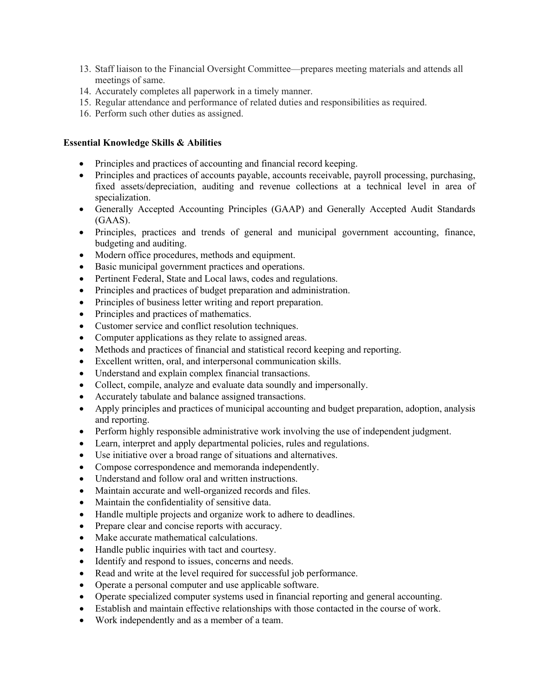- 13. Staff liaison to the Financial Oversight Committee—prepares meeting materials and attends all meetings of same.
- 14. Accurately completes all paperwork in a timely manner.
- 15. Regular attendance and performance of related duties and responsibilities as required.
- 16. Perform such other duties as assigned.

## **Essential Knowledge Skills & Abilities**

- Principles and practices of accounting and financial record keeping.
- Principles and practices of accounts payable, accounts receivable, payroll processing, purchasing, fixed assets/depreciation, auditing and revenue collections at a technical level in area of specialization.
- Generally Accepted Accounting Principles (GAAP) and Generally Accepted Audit Standards (GAAS).
- Principles, practices and trends of general and municipal government accounting, finance, budgeting and auditing.
- Modern office procedures, methods and equipment.
- Basic municipal government practices and operations.
- Pertinent Federal, State and Local laws, codes and regulations.
- Principles and practices of budget preparation and administration.
- Principles of business letter writing and report preparation.
- Principles and practices of mathematics.
- Customer service and conflict resolution techniques.
- Computer applications as they relate to assigned areas.
- Methods and practices of financial and statistical record keeping and reporting.
- Excellent written, oral, and interpersonal communication skills.
- Understand and explain complex financial transactions.
- Collect, compile, analyze and evaluate data soundly and impersonally.
- Accurately tabulate and balance assigned transactions.
- Apply principles and practices of municipal accounting and budget preparation, adoption, analysis and reporting.
- Perform highly responsible administrative work involving the use of independent judgment.
- Learn, interpret and apply departmental policies, rules and regulations.
- Use initiative over a broad range of situations and alternatives.
- Compose correspondence and memoranda independently.
- Understand and follow oral and written instructions.
- Maintain accurate and well-organized records and files.
- Maintain the confidentiality of sensitive data.
- Handle multiple projects and organize work to adhere to deadlines.
- Prepare clear and concise reports with accuracy.
- Make accurate mathematical calculations.
- Handle public inquiries with tact and courtesy.
- Identify and respond to issues, concerns and needs.
- Read and write at the level required for successful job performance.
- Operate a personal computer and use applicable software.
- Operate specialized computer systems used in financial reporting and general accounting.
- Establish and maintain effective relationships with those contacted in the course of work.
- Work independently and as a member of a team.